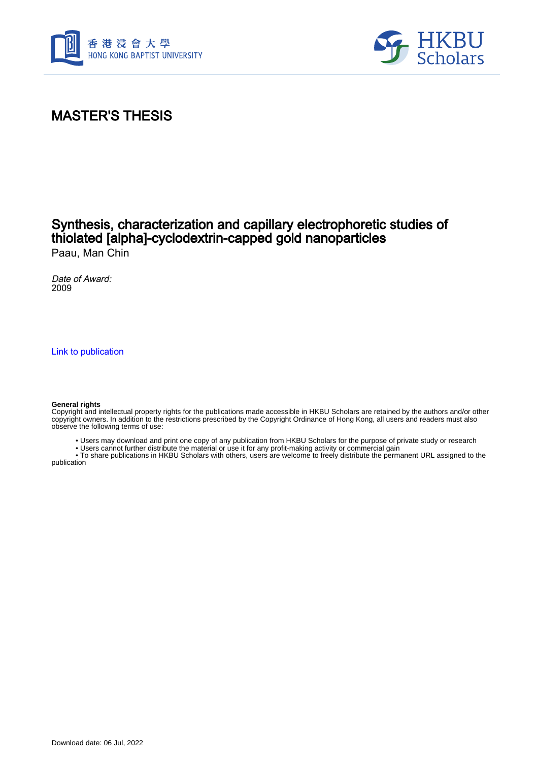



### MASTER'S THESIS

#### Synthesis, characterization and capillary electrophoretic studies of thiolated [alpha]-cyclodextrin-capped gold nanoparticles Paau, Man Chin

Date of Award: 2009

[Link to publication](https://scholars.hkbu.edu.hk/en/studentTheses/1c257f44-693b-4ad4-bcb7-b45790976423)

#### **General rights**

Copyright and intellectual property rights for the publications made accessible in HKBU Scholars are retained by the authors and/or other copyright owners. In addition to the restrictions prescribed by the Copyright Ordinance of Hong Kong, all users and readers must also observe the following terms of use:

- Users may download and print one copy of any publication from HKBU Scholars for the purpose of private study or research
- Users cannot further distribute the material or use it for any profit-making activity or commercial gain

 • To share publications in HKBU Scholars with others, users are welcome to freely distribute the permanent URL assigned to the publication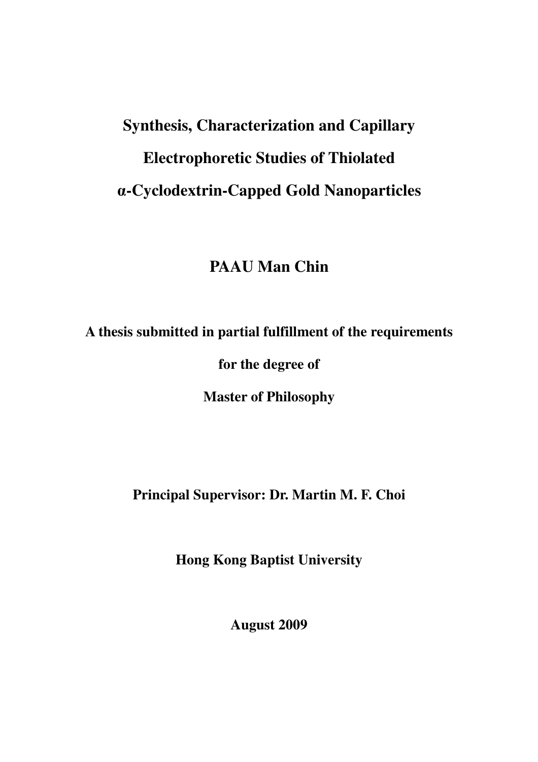# **Synthesis, Characterization and Capillary Electrophoretic Studies of Thiolated**  α**-Cyclodextrin-Capped Gold Nanoparticles**

# **PAAU Man Chin**

**A thesis submitted in partial fulfillment of the requirements** 

**for the degree of** 

**Master of Philosophy** 

**Principal Supervisor: Dr. Martin M. F. Choi** 

**Hong Kong Baptist University** 

**August 2009**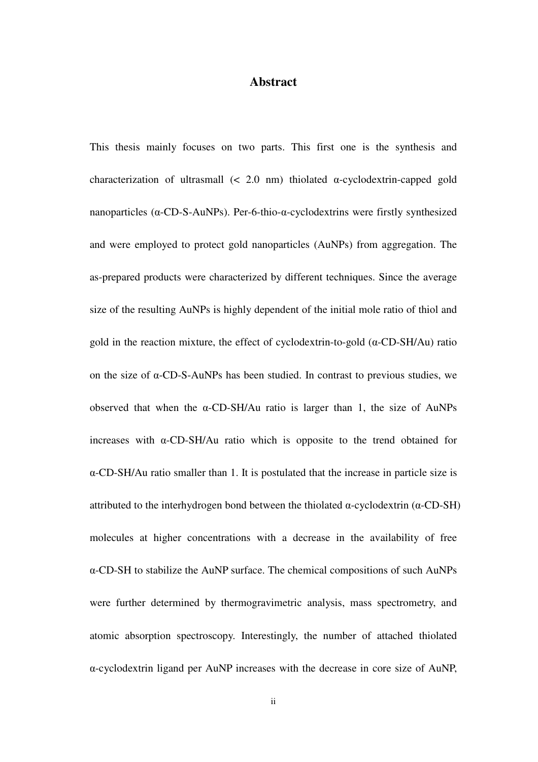#### **Abstract**

This thesis mainly focuses on two parts. This first one is the synthesis and characterization of ultrasmall  $\left($  < 2.0 nm) thiolated  $\alpha$ -cyclodextrin-capped gold nanoparticles (α-CD-S-AuNPs). Per-6-thio-α-cyclodextrins were firstly synthesized and were employed to protect gold nanoparticles (AuNPs) from aggregation. The as-prepared products were characterized by different techniques. Since the average size of the resulting AuNPs is highly dependent of the initial mole ratio of thiol and gold in the reaction mixture, the effect of cyclodextrin-to-gold  $(\alpha$ -CD-SH/Au) ratio on the size of α-CD-S-AuNPs has been studied. In contrast to previous studies, we observed that when the α-CD-SH/Au ratio is larger than 1, the size of AuNPs increases with α-CD-SH/Au ratio which is opposite to the trend obtained for α-CD-SH/Au ratio smaller than 1. It is postulated that the increase in particle size is attributed to the interhydrogen bond between the thiolated  $\alpha$ -cyclodextrin ( $\alpha$ -CD-SH) molecules at higher concentrations with a decrease in the availability of free α-CD-SH to stabilize the AuNP surface. The chemical compositions of such AuNPs were further determined by thermogravimetric analysis, mass spectrometry, and atomic absorption spectroscopy. Interestingly, the number of attached thiolated α-cyclodextrin ligand per AuNP increases with the decrease in core size of AuNP,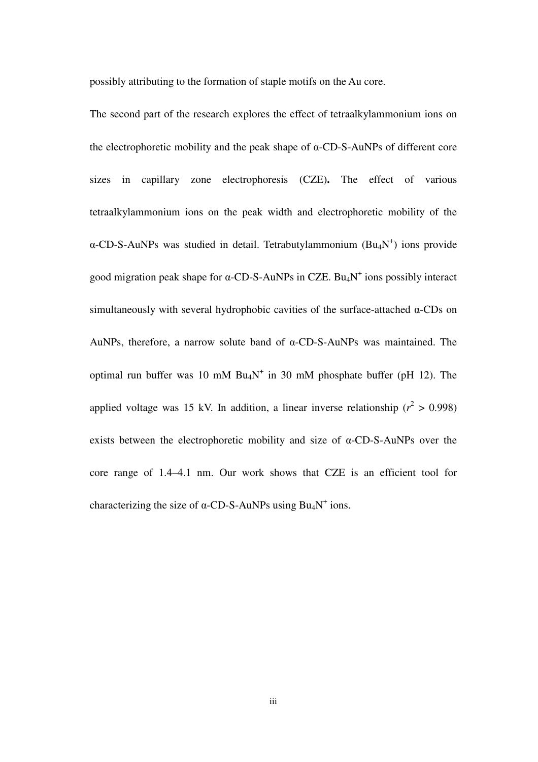possibly attributing to the formation of staple motifs on the Au core.

The second part of the research explores the effect of tetraalkylammonium ions on the electrophoretic mobility and the peak shape of α-CD-S-AuNPs of different core sizes in capillary zone electrophoresis (CZE)**.** The effect of various tetraalkylammonium ions on the peak width and electrophoretic mobility of the  $\alpha$ -CD-S-AuNPs was studied in detail. Tetrabutylammonium (Bu<sub>4</sub>N<sup>+</sup>) ions provide good migration peak shape for  $\alpha$ -CD-S-AuNPs in CZE. Bu<sub>4</sub>N<sup>+</sup> ions possibly interact simultaneously with several hydrophobic cavities of the surface-attached α-CDs on AuNPs, therefore, a narrow solute band of α-CD-S-AuNPs was maintained. The optimal run buffer was 10 mM  $Bu_4N^+$  in 30 mM phosphate buffer (pH 12). The applied voltage was 15 kV. In addition, a linear inverse relationship  $(r^2 > 0.998)$ exists between the electrophoretic mobility and size of α-CD-S-AuNPs over the core range of 1.4–4.1 nm. Our work shows that CZE is an efficient tool for characterizing the size of  $\alpha$ -CD-S-AuNPs using Bu<sub>4</sub>N<sup>+</sup> ions.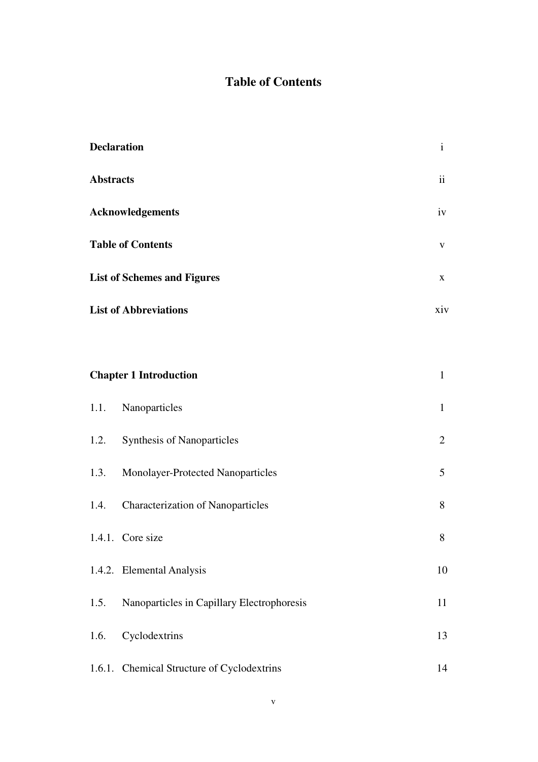## **Table of Contents**

| <b>Declaration</b> |                                            | $\mathbf{i}$   |
|--------------------|--------------------------------------------|----------------|
| <b>Abstracts</b>   |                                            | ii             |
|                    | Acknowledgements                           | iv             |
|                    | <b>Table of Contents</b>                   | V              |
|                    | <b>List of Schemes and Figures</b>         | X              |
|                    | <b>List of Abbreviations</b>               | xiv            |
|                    |                                            |                |
|                    | <b>Chapter 1 Introduction</b>              | $\mathbf{1}$   |
| 1.1.               | Nanoparticles                              | $\mathbf{1}$   |
|                    | 1.2. Synthesis of Nanoparticles            | $\overline{2}$ |
| 1.3.               | Monolayer-Protected Nanoparticles          | 5              |
| 1.4.               | <b>Characterization of Nanoparticles</b>   | 8              |
|                    | 1.4.1. Core size                           | 8              |
|                    | 1.4.2. Elemental Analysis                  | 10             |
| 1.5.               | Nanoparticles in Capillary Electrophoresis | 11             |
| 1.6.               | Cyclodextrins                              | 13             |
|                    | 1.6.1. Chemical Structure of Cyclodextrins | 14             |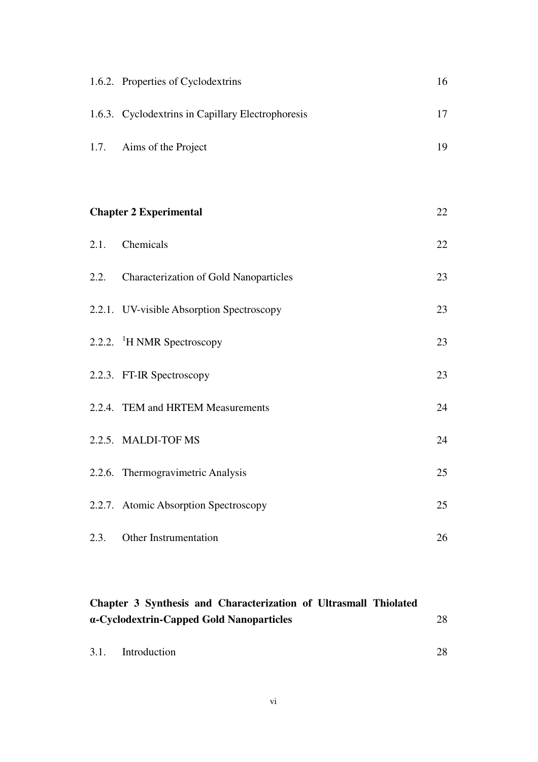|      | 1.6.2. Properties of Cyclodextrins                | 16 |
|------|---------------------------------------------------|----|
|      | 1.6.3. Cyclodextrins in Capillary Electrophoresis | 17 |
|      | 1.7. Aims of the Project                          | 19 |
|      |                                                   |    |
|      | <b>Chapter 2 Experimental</b>                     | 22 |
|      | 2.1. Chemicals                                    | 22 |
|      | 2.2. Characterization of Gold Nanoparticles       | 23 |
|      | 2.2.1. UV-visible Absorption Spectroscopy         | 23 |
|      | 2.2.2. <sup>1</sup> H NMR Spectroscopy            | 23 |
|      | 2.2.3. FT-IR Spectroscopy                         | 23 |
|      | 2.2.4. TEM and HRTEM Measurements                 | 24 |
|      | 2.2.5. MALDI-TOF MS                               | 24 |
|      | 2.2.6. Thermogravimetric Analysis                 | 25 |
|      | 2.2.7. Atomic Absorption Spectroscopy             | 25 |
| 2.3. | Other Instrumentation                             | 26 |

#### **Chapter 3 Synthesis and Characterization of Ultrasmall Thiolated**  α**-Cyclodextrin-Capped Gold Nanoparticles**  28

| 3.1. | Introduction | 28 |
|------|--------------|----|
|      |              |    |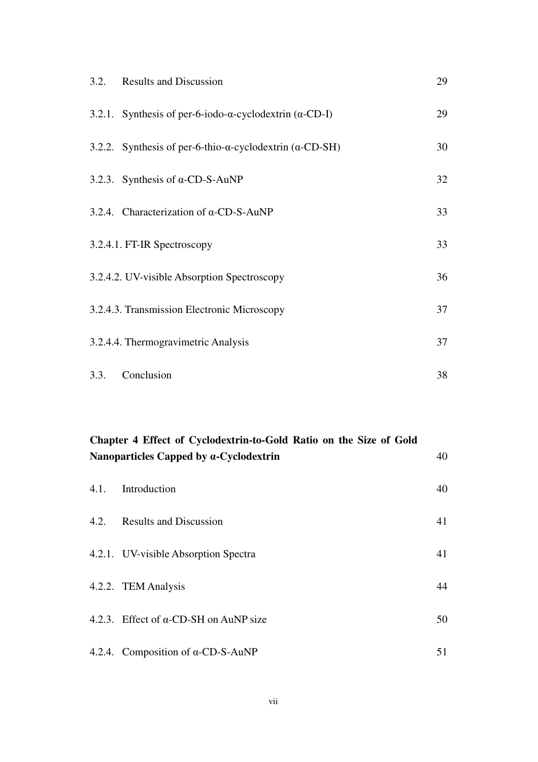|      | 3.2. Results and Discussion                                               | 29 |
|------|---------------------------------------------------------------------------|----|
|      | 3.2.1. Synthesis of per-6-iodo- $\alpha$ -cyclodextrin ( $\alpha$ -CD-I)  | 29 |
|      | 3.2.2. Synthesis of per-6-thio- $\alpha$ -cyclodextrin ( $\alpha$ -CD-SH) | 30 |
|      | 3.2.3. Synthesis of $\alpha$ -CD-S-AuNP                                   | 32 |
|      | 3.2.4. Characterization of $\alpha$ -CD-S-AuNP                            | 33 |
|      | 3.2.4.1. FT-IR Spectroscopy                                               | 33 |
|      | 3.2.4.2. UV-visible Absorption Spectroscopy                               | 36 |
|      | 3.2.4.3. Transmission Electronic Microscopy                               | 37 |
|      | 3.2.4.4. Thermogravimetric Analysis                                       | 37 |
| 3.3. | Conclusion                                                                | 38 |

#### **Chapter 4 Effect of Cyclodextrin-to-Gold Ratio on the Size of Gold Nanoparticles Capped by** α**-Cyclodextrin**

40

| 4.1. | Introduction                                  | 40 |
|------|-----------------------------------------------|----|
| 4.2. | <b>Results and Discussion</b>                 | 41 |
|      | 4.2.1. UV-visible Absorption Spectra          | 41 |
|      | 4.2.2. TEM Analysis                           | 44 |
|      | 4.2.3. Effect of $\alpha$ -CD-SH on AuNP size | 50 |
|      | 4.2.4. Composition of $\alpha$ -CD-S-AuNP     | 51 |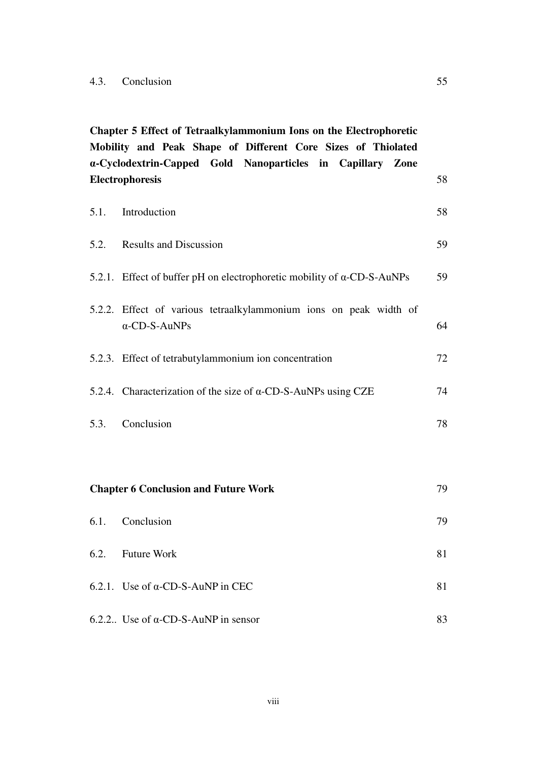**Chapter 5 Effect of Tetraalkylammonium Ions on the Electrophoretic Mobility and Peak Shape of Different Core Sizes of Thiolated**  α**-Cyclodextrin-Capped Gold Nanoparticles in Capillary Zone Electrophoresis**  5.1. Introduction 5.2. Results and Discussion 5.2.1. Effect of buffer pH on electrophoretic mobility of α-CD-S-AuNPs 5.2.2. Effect of various tetraalkylammonium ions on peak width of α-CD-S-AuNPs 5.2.3. Effect of tetrabutylammonium ion concentration 5.2.4. Characterization of the size of α-CD-S-AuNPs using CZE 5.3. Conclusion **Chapter 6 Conclusion and Future Work**  6.1. Conclusion 6.2. Future Work 6.2.1. Use of  $\alpha$ -CD-S-AuNP in CEC 6.2.2.. Use of  $\alpha$ -CD-S-AuNP in sensor 58 58 59 59 64 72 74 78 79 79 81 81 83